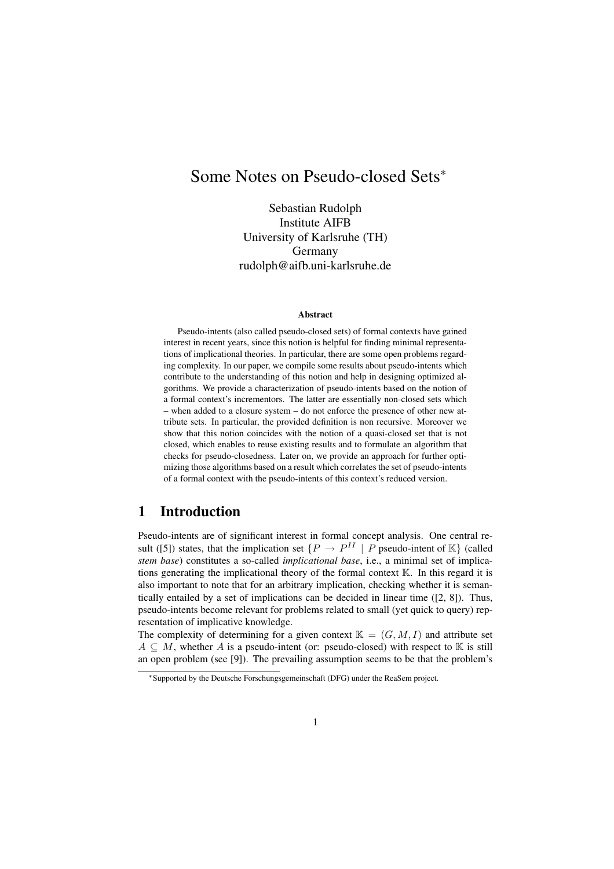# Some Notes on Pseudo-closed Sets<sup>∗</sup>

Sebastian Rudolph Institute AIFB University of Karlsruhe (TH) Germany rudolph@aifb.uni-karlsruhe.de

### Abstract

Pseudo-intents (also called pseudo-closed sets) of formal contexts have gained interest in recent years, since this notion is helpful for finding minimal representations of implicational theories. In particular, there are some open problems regarding complexity. In our paper, we compile some results about pseudo-intents which contribute to the understanding of this notion and help in designing optimized algorithms. We provide a characterization of pseudo-intents based on the notion of a formal context's incrementors. The latter are essentially non-closed sets which – when added to a closure system – do not enforce the presence of other new attribute sets. In particular, the provided definition is non recursive. Moreover we show that this notion coincides with the notion of a quasi-closed set that is not closed, which enables to reuse existing results and to formulate an algorithm that checks for pseudo-closedness. Later on, we provide an approach for further optimizing those algorithms based on a result which correlates the set of pseudo-intents of a formal context with the pseudo-intents of this context's reduced version.

## 1 Introduction

Pseudo-intents are of significant interest in formal concept analysis. One central result ([5]) states, that the implication set  $\{P \to P^{II} \mid P \text{ pseudo-intent of } \mathbb{K}\}\$  (called *stem base*) constitutes a so-called *implicational base*, i.e., a minimal set of implications generating the implicational theory of the formal context  $\mathbb{K}$ . In this regard it is also important to note that for an arbitrary implication, checking whether it is semantically entailed by a set of implications can be decided in linear time ([2, 8]). Thus, pseudo-intents become relevant for problems related to small (yet quick to query) representation of implicative knowledge.

The complexity of determining for a given context  $\mathbb{K} = (G, M, I)$  and attribute set  $A \subseteq M$ , whether A is a pseudo-intent (or: pseudo-closed) with respect to K is still an open problem (see [9]). The prevailing assumption seems to be that the problem's

<sup>∗</sup>Supported by the Deutsche Forschungsgemeinschaft (DFG) under the ReaSem project.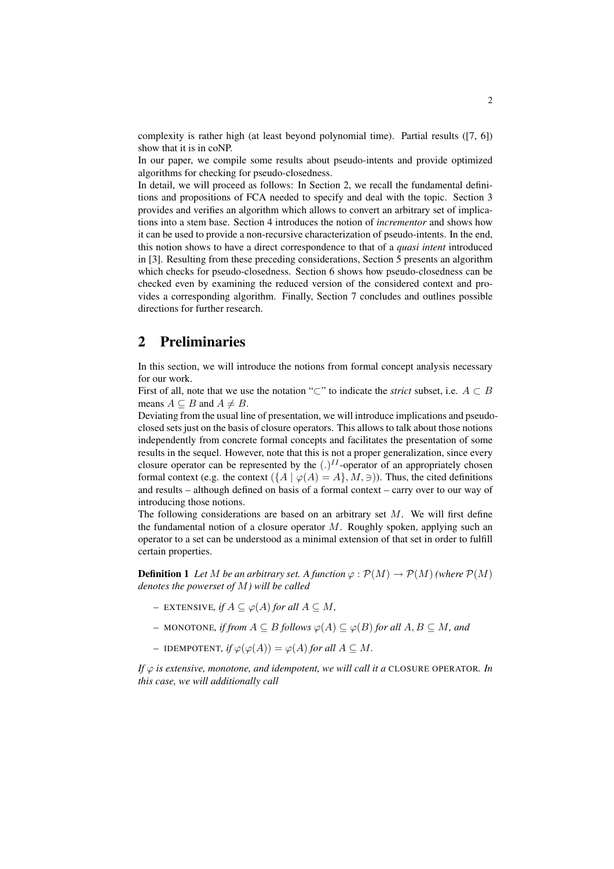complexity is rather high (at least beyond polynomial time). Partial results ([7, 6]) show that it is in coNP.

In our paper, we compile some results about pseudo-intents and provide optimized algorithms for checking for pseudo-closedness.

In detail, we will proceed as follows: In Section 2, we recall the fundamental definitions and propositions of FCA needed to specify and deal with the topic. Section 3 provides and verifies an algorithm which allows to convert an arbitrary set of implications into a stem base. Section 4 introduces the notion of *incrementor* and shows how it can be used to provide a non-recursive characterization of pseudo-intents. In the end, this notion shows to have a direct correspondence to that of a *quasi intent* introduced in [3]. Resulting from these preceding considerations, Section 5 presents an algorithm which checks for pseudo-closedness. Section 6 shows how pseudo-closedness can be checked even by examining the reduced version of the considered context and provides a corresponding algorithm. Finally, Section 7 concludes and outlines possible directions for further research.

### 2 Preliminaries

In this section, we will introduce the notions from formal concept analysis necessary for our work.

First of all, note that we use the notation "⊂" to indicate the *strict* subset, i.e. A ⊂ B means  $A \subseteq B$  and  $A \neq B$ .

Deviating from the usual line of presentation, we will introduce implications and pseudoclosed sets just on the basis of closure operators. This allows to talk about those notions independently from concrete formal concepts and facilitates the presentation of some results in the sequel. However, note that this is not a proper generalization, since every closure operator can be represented by the  $(.)^{II}$ -operator of an appropriately chosen formal context (e.g. the context  $({A \mid \varphi(A) = A}, M, \exists)$ ). Thus, the cited definitions and results – although defined on basis of a formal context – carry over to our way of introducing those notions.

The following considerations are based on an arbitrary set  $M$ . We will first define the fundamental notion of a closure operator  $M$ . Roughly spoken, applying such an operator to a set can be understood as a minimal extension of that set in order to fulfill certain properties.

**Definition 1** Let M be an arbitrary set. A function  $\varphi : \mathcal{P}(M) \to \mathcal{P}(M)$  *(where*  $\mathcal{P}(M)$ ) *denotes the powerset of* M*) will be called*

- *–* EXTENSIVE, if  $A ⊆ φ(A)$  for all  $A ⊆ M$ ,
- *–* MONOTONE, if from  $A ⊂ B$  follows  $\varphi(A) ⊂ \varphi(B)$  for all  $A, B ⊂ M$ , and
- *–* IDEMPOTENT, if  $\varphi(\varphi(A)) = \varphi(A)$  *for all*  $A \subseteq M$ .

*If*  $\varphi$  *is extensive, monotone, and idempotent, we will call it a* CLOSURE OPERATOR. *In this case, we will additionally call*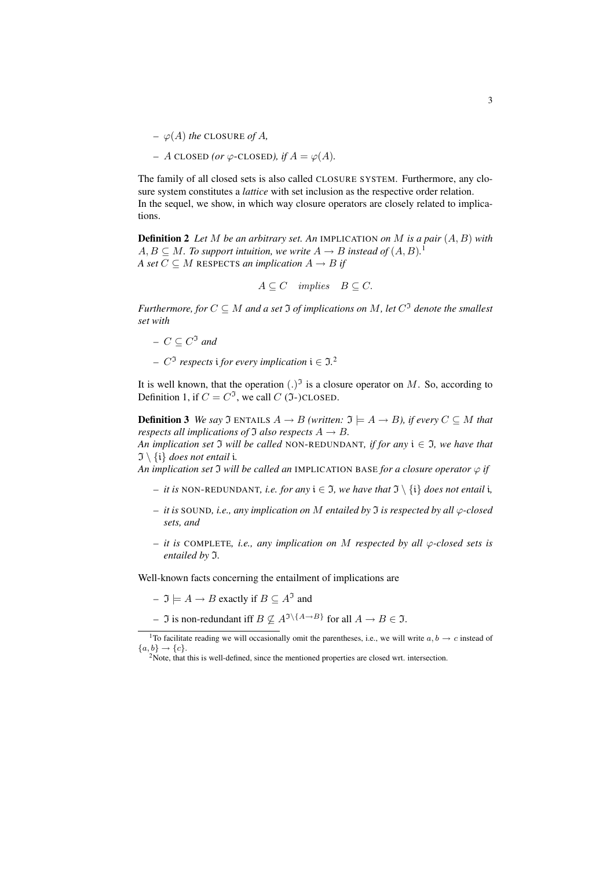- $-\varphi(A)$  *the* CLOSURE *of A*,
- *– A* CLOSED (or  $\varphi$ -CLOSED), if  $A = \varphi(A)$ .

The family of all closed sets is also called CLOSURE SYSTEM. Furthermore, any closure system constitutes a *lattice* with set inclusion as the respective order relation. In the sequel, we show, in which way closure operators are closely related to implications.

Definition 2 *Let* M *be an arbitrary set. An* IMPLICATION *on* M *is a pair* (A, B) *with*  $A, B \subseteq M$ *. To support intuition, we write*  $A \rightarrow B$  *instead of*  $(A, B)$ <sup>1</sup> *A set*  $C \subseteq M$  RESPECTS *an implication*  $A \rightarrow B$  *if* 

$$
A \subseteq C \quad implies \quad B \subseteq C.
$$

*Furthermore, for*  $C \subseteq M$  *and a set*  $\mathfrak{I}$  *of implications on*  $M$ *, let*  $C^{\mathfrak{I}}$  *denote the smallest set with*

- $C \subseteq C^{\mathfrak{I}}$  and
- $I C<sup>3</sup>$  respects i for every implication i  $\in \mathfrak{I}^2$ .

It is well known, that the operation  $(.)^{\mathfrak{I}}$  is a closure operator on M. So, according to Definition 1, if  $C = C^{\mathfrak{I}}$ , we call  $C$  (J-)CLOSED.

**Definition 3** *We say*  $\Im$  ENTAILS  $A \rightarrow B$  *(written:*  $\Im \models A \rightarrow B$ *), if every*  $C \subseteq M$  *that respects all implications of*  $\mathfrak{I}$  *also respects*  $A \rightarrow B$ *.* 

*An implication set*  $\Im$  *will be called* NON-REDUNDANT, *if for any*  $i \in \Im$ *, we have that*  $\mathfrak{I} \setminus \{i\}$  *does not entail i.* 

*An implication set*  $\Im$  *will be called an IMPLICATION BASE for a closure operator*  $\varphi$  *if* 

- *− it is* NON-REDUNDANT, *i.e. for any*  $i \in \mathcal{I}$ *, we have that*  $\mathcal{I} \setminus \{i\}$  *does not entail*  $i$ *,*
- *– it is* SOUND*, i.e., any implication on* M *entailed by* I *is respected by all* ϕ*-closed sets, and*
- $-$  *it is* COMPLETE, *i.e., any implication on* M *respected by all*  $\varphi$ -closed sets is *entailed by* I*.*

Well-known facts concerning the entailment of implications are

- $\mathfrak{I} \models A \rightarrow B$  exactly if  $B \subseteq A^{\mathfrak{I}}$  and
- $-$  3 is non-redundant iff  $B \nsubseteq A^{3 \setminus \{A \rightarrow B\}}$  for all  $A \rightarrow B \in \mathfrak{I}$ .

<sup>&</sup>lt;sup>1</sup>To facilitate reading we will occasionally omit the parentheses, i.e., we will write  $a, b \rightarrow c$  instead of  ${a, b} \rightarrow {c}.$ 

 $2$ Note, that this is well-defined, since the mentioned properties are closed wrt. intersection.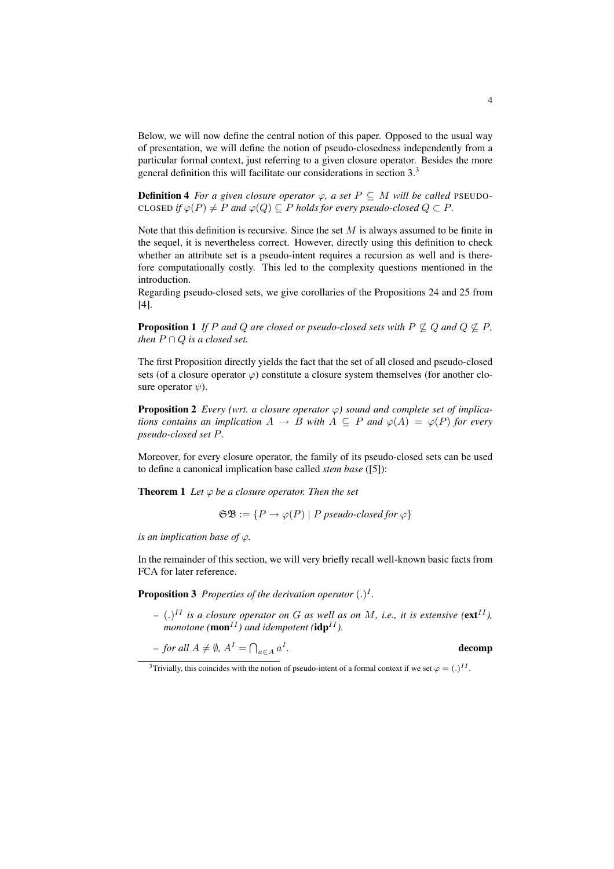Below, we will now define the central notion of this paper. Opposed to the usual way of presentation, we will define the notion of pseudo-closedness independently from a particular formal context, just referring to a given closure operator. Besides the more general definition this will facilitate our considerations in section 3.<sup>3</sup>

**Definition 4** *For a given closure operator*  $\varphi$ *, a set*  $P \subseteq M$  *will be called* PSEUDO-CLOSED *if*  $\varphi(P) \neq P$  *and*  $\varphi(Q) \subseteq P$  *holds for every pseudo-closed*  $Q \subset P$ *.* 

Note that this definition is recursive. Since the set  $M$  is always assumed to be finite in the sequel, it is nevertheless correct. However, directly using this definition to check whether an attribute set is a pseudo-intent requires a recursion as well and is therefore computationally costly. This led to the complexity questions mentioned in the introduction.

Regarding pseudo-closed sets, we give corollaries of the Propositions 24 and 25 from [4].

**Proposition 1** *If* P and Q are closed or pseudo-closed sets with  $P \nsubseteq Q$  and  $Q \nsubseteq P$ , *then*  $P \cap Q$  *is a closed set.* 

The first Proposition directly yields the fact that the set of all closed and pseudo-closed sets (of a closure operator  $\varphi$ ) constitute a closure system themselves (for another closure operator  $\psi$ ).

**Proposition 2** *Every (wrt. a closure operator*  $\varphi$ *) sound and complete set of implications contains an implication*  $A \rightarrow B$  *with*  $A \subseteq P$  *and*  $\varphi(A) = \varphi(P)$  *for every pseudo-closed set* P*.*

Moreover, for every closure operator, the family of its pseudo-closed sets can be used to define a canonical implication base called *stem base* ([5]):

**Theorem 1** *Let*  $\varphi$  *be a closure operator. Then the set* 

 $\mathfrak{SB} := \{ P \rightarrow \varphi(P) \mid P \text{ pseudo-closed for } \varphi \}$ 

*is an implication base of*  $\varphi$ *.* 

In the remainder of this section, we will very briefly recall well-known basic facts from FCA for later reference.

**Proposition 3** Properties of the derivation operator  $(.)^I$ .

- $(.)^{II}$  *is a closure operator on G as well as on M*, *i.e., it is extensive* ( $ext{erf}$ *M*), *monotone* (**mon**<sup> $II$ </sup>) and idempotent (**idp**<sup> $II$ </sup>).
- $-$  *for all*  $A \neq \emptyset$ ,  $A^I = \bigcap_{a \in A} a^I$ *.* decomp

<sup>&</sup>lt;sup>3</sup>Trivially, this coincides with the notion of pseudo-intent of a formal context if we set  $\varphi = (.)^{II}$ .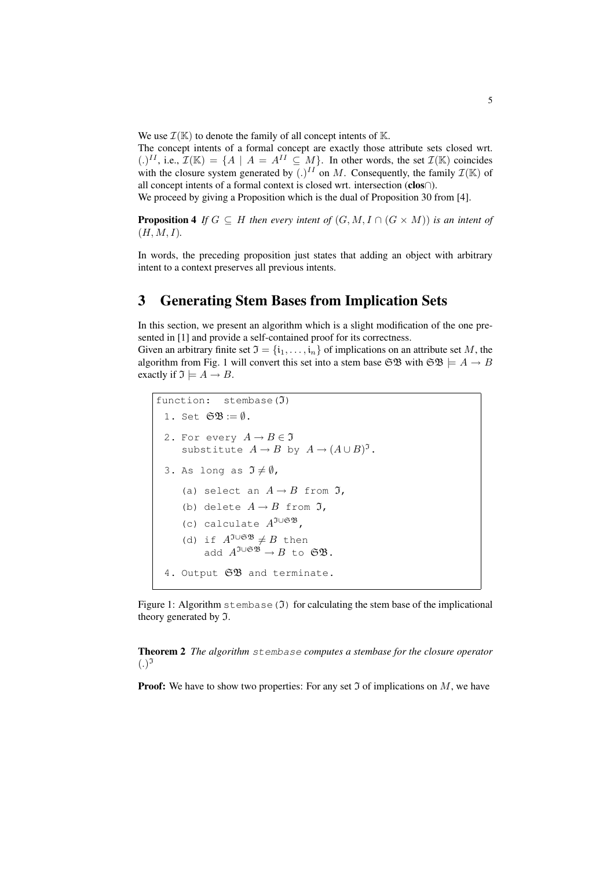We use  $\mathcal{I}(\mathbb{K})$  to denote the family of all concept intents of  $\mathbb{K}$ .

The concept intents of a formal concept are exactly those attribute sets closed wrt.  $(.)<sup>II</sup>$ , i.e.,  $\mathcal{I}(\mathbb{K}) = \{A \mid A = A<sup>II</sup> \subseteq M\}$ . In other words, the set  $\mathcal{I}(\mathbb{K})$  coincides with the closure system generated by  $(.)^{II}$  on M. Consequently, the family  $\mathcal{I}(\mathbb{K})$  of all concept intents of a formal context is closed wrt. intersection (clos∩).

We proceed by giving a Proposition which is the dual of Proposition 30 from [4].

**Proposition 4** *If*  $G \subseteq H$  *then every intent of*  $(G, M, I \cap (G \times M))$  *is an intent of*  $(H, M, I).$ 

In words, the preceding proposition just states that adding an object with arbitrary intent to a context preserves all previous intents.

### 3 Generating Stem Bases from Implication Sets

In this section, we present an algorithm which is a slight modification of the one presented in [1] and provide a self-contained proof for its correctness. Given an arbitrary finite set  $\mathfrak{I} = \{i_1, \ldots, i_n\}$  of implications on an attribute set M, the algorithm from Fig. 1 will convert this set into a stem base  $\mathfrak{SB}$  with  $\mathfrak{SB} \models A \rightarrow B$ 

exactly if  $\mathfrak{I} \models A \rightarrow B$ .

```
function: stembase(J)
  1. Set \mathfrak{SB} := \emptyset.
  2. For every A \rightarrow B \in \mathfrak{I}substitute A \to B by A \to (A \cup B)^3.
 3. As long as \mathfrak{I} \neq \emptyset,
       (a) select an A \rightarrow B from \mathfrak{I},
       (b) delete A \rightarrow B from \mathfrak{I},
       (c) calculate A^{J\cup\mathfrak{S}\mathfrak{B}},
       (d) if A^{J\cup\mathfrak{S}\mathfrak{B}}\neq B then
              add A^{J\cup\mathfrak{S}^{g'}} \to B to \mathfrak{S}^{g}.
  4. Output \mathfrak{SB} and terminate.
```
Figure 1: Algorithm stembase  $(\mathfrak{I})$  for calculating the stem base of the implicational theory generated by I.

Theorem 2 *The algorithm* stembase *computes a stembase for the closure operator*  $(.)^{\mathfrak{I}}$ 

**Proof:** We have to show two properties: For any set  $\mathfrak{I}$  of implications on M, we have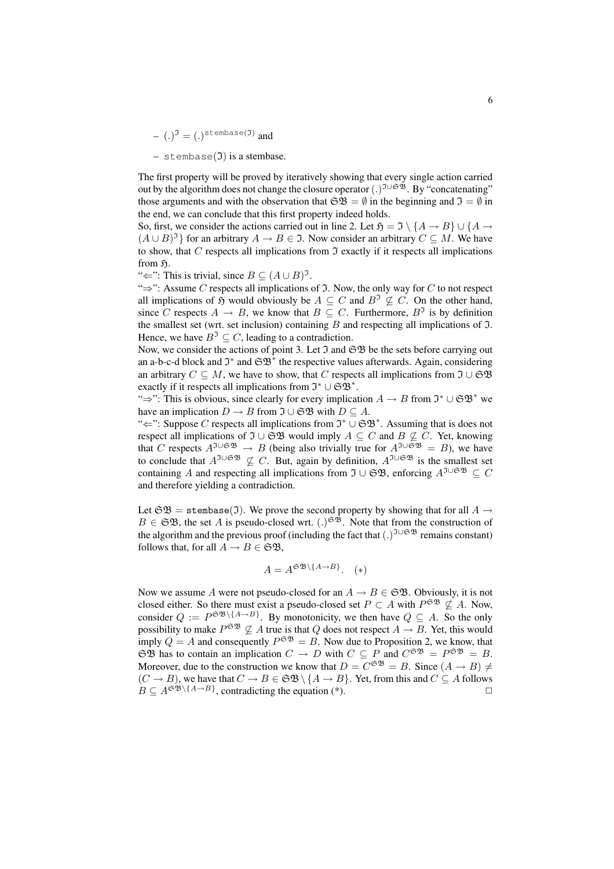$-$  (.)<sup>3</sup> = (.)<sup>stembase(3)</sup> and

 $-$  stembase( $\mathfrak{I}$ ) is a stembase.

The first property will be proved by iteratively showing that every single action carried out by the algorithm does not change the closure operator (.)<sup> $J\cup$  $\mathfrak{SB}$ </sup>. By "concatenating" those arguments and with the observation that  $\mathfrak{SB} = \emptyset$  in the beginning and  $\mathfrak{I} = \emptyset$  in the end, we can conclude that this first property indeed holds.

So, first, we consider the actions carried out in line 2. Let  $\mathfrak{H} = \mathfrak{I} \setminus \{A \rightarrow B\} \cup \{A \rightarrow B\}$  $(A \cup B)^{3}$  for an arbitrary  $A \to B \in \mathfrak{I}$ . Now consider an arbitrary  $C \subseteq M$ . We have to show, that  $C$  respects all implications from  $\mathfrak I$  exactly if it respects all implications from  $\mathfrak{H}$ .

" $\Leftarrow$ ": This is trivial, since  $B \subseteq (A \cup B)^{\mathfrak{I}}$ .

" $\Rightarrow$ ": Assume C respects all implications of J. Now, the only way for C to not respect all implications of  $\mathfrak H$  would obviously be  $A \subseteq C$  and  $B^{\mathfrak I} \nsubseteq C$ . On the other hand, since C respects  $A \to B$ , we know that  $B \subseteq C$ . Furthermore,  $B^{\mathfrak{I}}$  is by definition the smallest set (wrt. set inclusion) containing  $B$  and respecting all implications of  $\mathfrak I$ . Hence, we have  $B^3 \subseteq C$ , leading to a contradiction.

Now, we consider the actions of point 3. Let  $\mathfrak I$  and  $\mathfrak S\mathfrak B$  be the sets before carrying out an a-b-c-d block and  $\mathfrak{I}^*$  and  $\mathfrak{S}\mathfrak{B}^*$  the respective values afterwards. Again, considering an arbitrary  $C \subseteq M$ , we have to show, that C respects all implications from  $\mathfrak{I} \cup \mathfrak{SB}$ exactly if it respects all implications from  $\mathfrak{I}^* \cup \mathfrak{S} \mathfrak{B}^*$ .

" $\Rightarrow$ ": This is obvious, since clearly for every implication  $A \to B$  from  $\mathfrak{I}^* \cup \mathfrak{S} \mathfrak{B}^*$  we have an implication  $D \to B$  from  $\mathfrak{I} \cup \mathfrak{S} \mathfrak{B}$  with  $D \subset A$ .

" $\Leftarrow$ ": Suppose C respects all implications from  $\mathfrak{I}^* \cup \mathfrak{S} \mathfrak{B}^*$ . Assuming that is does not respect all implications of  $\mathfrak{I} \cup \mathfrak{S} \mathfrak{B}$  would imply  $A \subseteq C$  and  $B \nsubseteq C$ . Yet, knowing that C respects  $A^{3\cup 6\mathfrak{B}} \to B$  (being also trivially true for  $A^{3\cup 6\mathfrak{B}} = B$ ), we have to conclude that  $A^{3\cup 6\Re} \not\subset C$ . But, again by definition,  $A^{3\cup 6\Re}$  is the smallest set containing A and respecting all implications from  $\mathfrak{I} \cup \mathfrak{SB}$ , enforcing  $A^{\mathfrak{I} \cup \mathfrak{SB}} \subseteq C$ and therefore yielding a contradiction.

Let  $\mathfrak{SB} = \mathtt{stembase}(\mathfrak{I})$ . We prove the second property by showing that for all  $A \rightarrow$  $B \in \mathfrak{SB}$ , the set A is pseudo-closed wrt. (.)<sup> $\mathfrak{SB}$ </sup>. Note that from the construction of the algorithm and the previous proof (including the fact that  $(.)^{J\cup\mathfrak{S}\mathfrak{B}}$  remains constant) follows that, for all  $A \rightarrow B \in \mathfrak{SB}$ ,

$$
A = A^{\mathfrak{SB}\backslash\{A\to B\}}.\quad (*)
$$

Now we assume A were not pseudo-closed for an  $A \rightarrow B \in \mathfrak{SB}$ . Obviously, it is not closed either. So there must exist a pseudo-closed set  $P \subset A$  with  $P^{\mathfrak{S} \mathfrak{B}} \nsubseteq A$ . Now, consider  $Q := P^{\mathfrak{S}\mathfrak{B}\backslash\{A\rightarrow B\}}$ . By monotonicity, we then have  $Q \subseteq A$ . So the only possibility to make  $P^{\mathfrak{S}\mathfrak{B}} \nsubseteq A$  true is that Q does not respect  $A \to B$ . Yet, this would imply  $Q = A$  and consequently  $P^{\mathfrak{S}\mathfrak{B}} = B$ . Now due to Proposition 2, we know, that  $\mathfrak{S}\mathfrak{B}$  has to contain an implication  $C \to D$  with  $C \subseteq P$  and  $C^{\mathfrak{S}\mathfrak{B}} = P^{\mathfrak{S}\mathfrak{B}} = B$ . Moreover, due to the construction we know that  $D = C^{S\mathfrak{B}} = B$ . Since  $(A \rightarrow B) \neq$  $(C \to B)$ , we have that  $C \to B \in \mathfrak{SB} \setminus \{A \to B\}$ . Yet, from this and  $C \subseteq A$  follows  $B \subseteq A^{\mathfrak{SB}\setminus\{A\to B\}}$ , contradicting the equation (\*).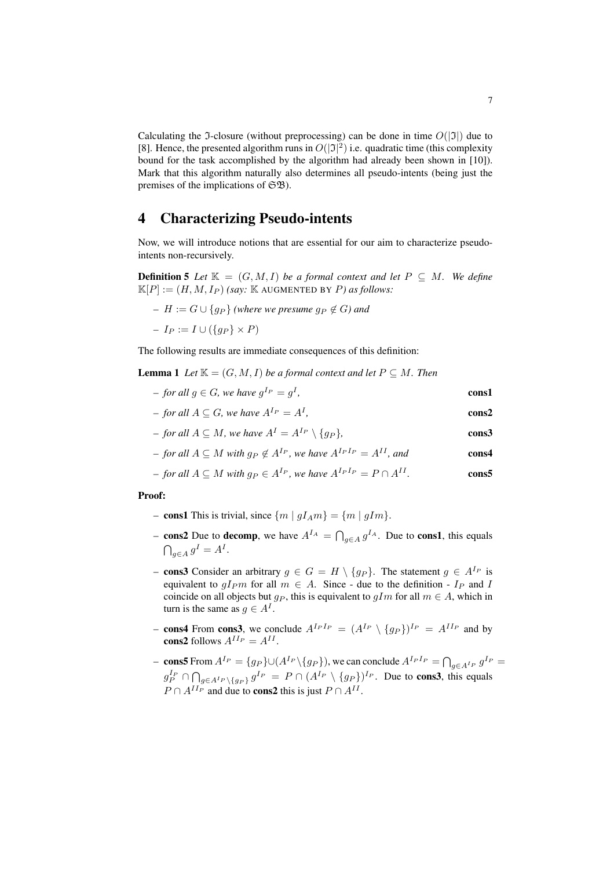Calculating the I-closure (without preprocessing) can be done in time  $O(|\mathfrak{I}|)$  due to [8]. Hence, the presented algorithm runs in  $O(|\mathfrak{I}|^2)$  i.e. quadratic time (this complexity bound for the task accomplished by the algorithm had already been shown in [10]). Mark that this algorithm naturally also determines all pseudo-intents (being just the premises of the implications of  $\mathfrak{SB}$ ).

### 4 Characterizing Pseudo-intents

Now, we will introduce notions that are essential for our aim to characterize pseudointents non-recursively.

**Definition 5** *Let*  $K = (G, M, I)$  *be a formal context and let*  $P \subseteq M$ *. We define*  $\mathbb{K}[P] := (H, M, I_P)$  *(say:*  $\mathbb{K}$  AUGMENTED BY P) *as follows:* 

*–*  $H := G \cup \{g_P\}$  *(where we presume*  $g_P \notin G$ *) and* 

$$
-I_P := I \cup (\{g_P\} \times P)
$$

The following results are immediate consequences of this definition:

**Lemma 1** *Let*  $K = (G, M, I)$  *be a formal context and let*  $P \subseteq M$ *. Then* 

- $-$  *for all*  $g \in G$ *, we have*  $g^{I_P} = g^I$ *,* cons1
- $$ *,* cons2
- *– for all*  $A \subseteq M$ *, we have*  $A^I = A^{I_P} \setminus \{q_P\}$ , cons3
- *– for all*  $A ⊂ M$  *with*  $q_P \notin A^{I_P}$ *, we have*  $A^{I_P I_P} = A^{II}$ *, and* cons4

- for all 
$$
A \subseteq M
$$
 with  $g_P \in A^{I_P}$ , we have  $A^{I_P I_P} = P \cap A^{I I}$ .

### Proof:

- cons1 This is trivial, since  $\{m \mid qI_Am\} = \{m \mid qIm\}.$
- cons2 Due to decomp, we have  $A^{I_A} = \bigcap_{g \in A} g^{I_A}$ . Due to cons1, this equals  $g \in A$   $g^I = A^I$ .
- cons3 Consider an arbitrary  $g \in G = H \setminus \{g_P\}$ . The statement  $g \in A^{I_P}$  is equivalent to  $qI_{P}$  for all  $m \in A$ . Since - due to the definition -  $I_{P}$  and I coincide on all objects but  $q_P$ , this is equivalent to  $qIm$  for all  $m \in A$ , which in turn is the same as  $g \in A<sup>I</sup>$ .
- **cons4** From cons3, we conclude  $A^{I_P I_P} = (A^{I_P} \setminus \{g_P\})^{I_P} = A^{I I_P}$  and by cons2 follows  $A^{II_P} = A^{II}$ .
- cons5 From  $A^{I_P} = \{g_P\} \cup (A^{I_P} \setminus \{g_P\})$ , we can conclude  $A^{I_P I_P} = \bigcap_{g \in A^{I_P}} g^{I_P} =$  $g_P^{I_P} \cap \bigcap$  $g \in A^{I_P} \setminus \{g_P\}$   $g^{I_P} = P \cap (A^{I_P} \setminus \{g_P\})^{I_P}$ . Due to cons3, this equals  $P \cap A^{II_P}$  and due to **cons2** this is just  $P \cap A^{II}$ .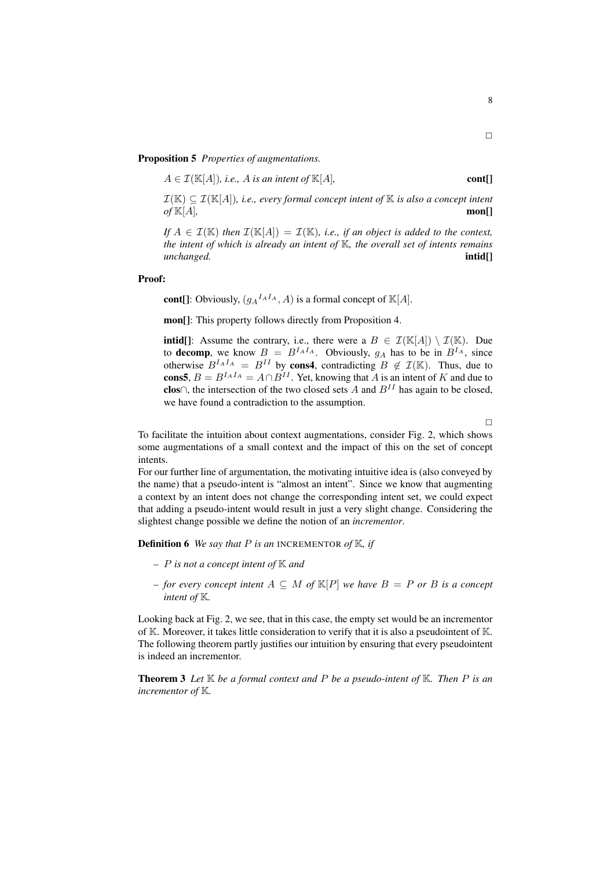Proposition 5 *Properties of augmentations.*

 $A \in \mathcal{I}(\mathbb{K}[A]), i.e., A \text{ is an intent of } \mathbb{K}[A].$  conti

 $\mathcal{I}(\mathbb{K}) \subset \mathcal{I}(\mathbb{K}[A]),$  *i.e., every formal concept intent of*  $\mathbb{K}$  *is also a concept intent*  $of \mathbb{K}[A],$  mon[]

*If*  $A \in \mathcal{I}(\mathbb{K})$  *then*  $\mathcal{I}(\mathbb{K}[A]) = \mathcal{I}(\mathbb{K})$ *, i.e., if an object is added to the context, the intent of which is already an intent of* K*, the overall set of intents remains unchanged.* intid[]

Proof:

**cont**[]: Obviously,  $(g_A^{I_A I_A}, A)$  is a formal concept of  $\mathbb{K}[A]$ .

mon[]: This property follows directly from Proposition 4.

**intid**[]: Assume the contrary, i.e., there were a  $B \in \mathcal{I}(\mathbb{K}[A]) \setminus \mathcal{I}(\mathbb{K})$ . Due to **decomp**, we know  $B = B^{I_A I_A}$ . Obviously,  $q_A$  has to be in  $B^{I_A}$ , since otherwise  $B^{I_A I_A} = B^{II}$  by cons4, contradicting  $B \notin \mathcal{I}(\mathbb{K})$ . Thus, due to cons5,  $B = B^{I A I_A} = A \cap B^{I I}$ . Yet, knowing that A is an intent of K and due to clos∩, the intersection of the two closed sets A and  $B<sup>II</sup>$  has again to be closed, we have found a contradiction to the assumption.

 $\Box$ 

To facilitate the intuition about context augmentations, consider Fig. 2, which shows some augmentations of a small context and the impact of this on the set of concept intents.

For our further line of argumentation, the motivating intuitive idea is (also conveyed by the name) that a pseudo-intent is "almost an intent". Since we know that augmenting a context by an intent does not change the corresponding intent set, we could expect that adding a pseudo-intent would result in just a very slight change. Considering the slightest change possible we define the notion of an *incrementor*.

Definition 6 *We say that* P *is an* INCREMENTOR *of* K*, if*

- *–* P *is not a concept intent of* K *and*
- $−$  *for every concept intent*  $A ⊆ M$  *of*  $\mathbb{K}[P]$  *we have*  $B = P$  *or*  $B$  *is a concept intent of* K*.*

Looking back at Fig. 2, we see, that in this case, the empty set would be an incrementor of K. Moreover, it takes little consideration to verify that it is also a pseudointent of K. The following theorem partly justifies our intuition by ensuring that every pseudointent is indeed an incrementor.

Theorem 3 *Let* K *be a formal context and* P *be a pseudo-intent of* K*. Then* P *is an incrementor of* K*.*

 $\Box$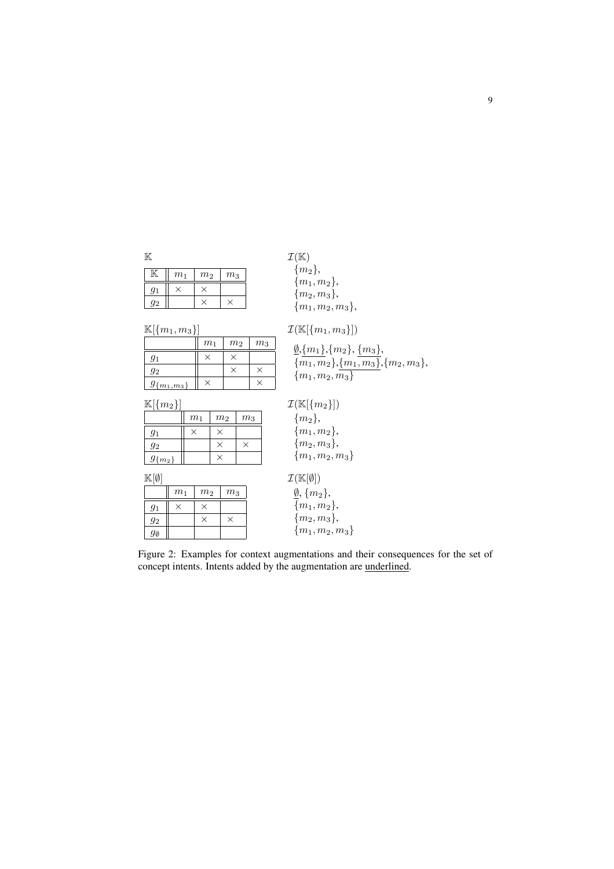|       |                |                |                | $\mathcal{I}(\mathbb{K})$ |
|-------|----------------|----------------|----------------|---------------------------|
|       | m <sub>1</sub> | m <sub>2</sub> | m <sub>3</sub> | $\{m_2$<br>$\{m_1$        |
|       |                |                |                | $\{m_2$                   |
| $q_2$ |                |                |                | $[m_1$                    |

| エ(四)                  |
|-----------------------|
| $\{m_2\},\$           |
| $\{m_1, m_2\},\$      |
| $\{m_2, m_3\},\$      |
| $\{m_1, m_2, m_3\},\$ |
|                       |

|                   | m <sub>1</sub> | m <sub>2</sub> | m <sub>3</sub> |
|-------------------|----------------|----------------|----------------|
| $g_1$             |                |                |                |
| $g_2$             |                |                |                |
| $g_{\{m_1,m_3\}}$ |                |                |                |

|               | m <sub>1</sub> | m <sub>2</sub> | m <sub>3</sub> |
|---------------|----------------|----------------|----------------|
| $g_1$         |                |                |                |
| $g_2$         |                |                |                |
| $g_{\{m_2\}}$ |                |                |                |

|                 | m <sub>1</sub> | m <sub>2</sub> | $m_3$ |
|-----------------|----------------|----------------|-------|
| $g_1$           |                | $\times$       |       |
| $g_2$           |                | ×              | ×     |
| $g_{\emptyset}$ |                |                |       |

 $\mathbb{K}[\{m_1, m_3\}]$   $\mathcal{I}(\mathbb{K}[\{m_1, m_3\}])$ 

 $\underline{\emptyset}$ , $\{m_1\}$ , $\{m_2\}$ ,  $\{m_3\}$ ,  ${m_1, m_2}, {m_1, m_3}, {m_2, m_3},$  ${m_1, m_2, m_3}$ 

 $\mathbb{K}[\{m_2\}]$   $\mathcal{I}(\mathbb{K}[\{m_2\}])$  ${m_2},$  ${m_1, m_2},$  $\{m_2,m_3\},$  ${m_1, m_2, m_3}$ 

 $\mathbb{K}[\emptyset]$   $\mathcal{I}(\mathbb{K}[\emptyset])$ ∅, {m2},  ${m_1, m_2},$  ${m_2, m_3},$  ${m_1, m_2, m_3}$ 

Figure 2: Examples for context augmentations and their consequences for the set of concept intents. Intents added by the augmentation are underlined.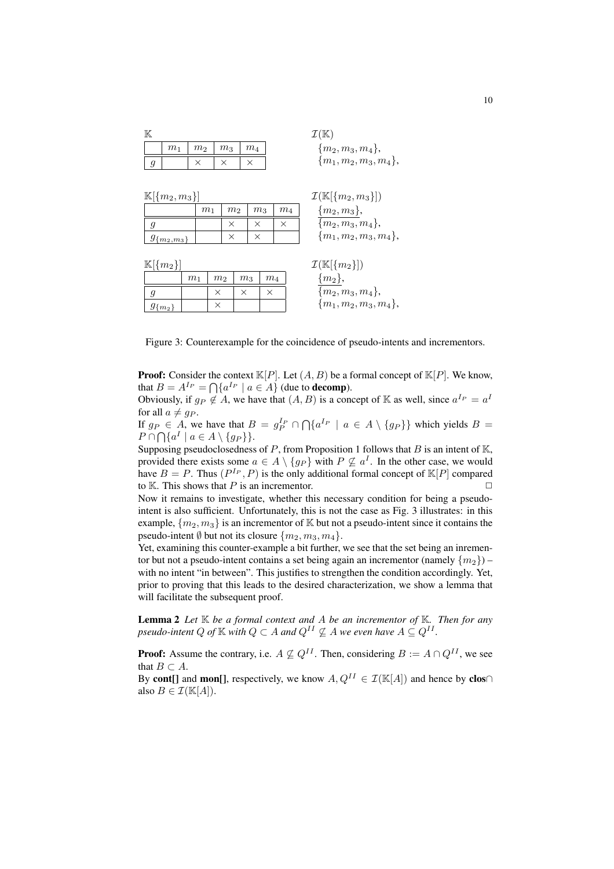| К              |                           |                |                |                |                |              |                | $\mathcal{I}(\mathbb{K})$              |
|----------------|---------------------------|----------------|----------------|----------------|----------------|--------------|----------------|----------------------------------------|
|                | m <sub>1</sub>            | m <sub>2</sub> | m <sub>3</sub> |                | m <sub>4</sub> |              |                | $\{m_2, m_3, m_4\},\$                  |
| $\overline{g}$ |                           | ×              | X              |                | ×              |              |                | $\{m_1, m_2, m_3, m_4\},\$             |
|                |                           |                |                |                |                |              |                |                                        |
|                | $\mathbb{K} \{m_2,m_3\} $ |                |                |                |                |              |                | $\mathcal{I}(\mathbb{K}[\{m_2,m_3\}])$ |
|                |                           | m <sub>1</sub> |                | m <sub>2</sub> | m <sub>3</sub> |              | m <sub>4</sub> | $\{m_2, m_3\},\$                       |
| g              |                           |                |                | ×              | ×              |              | X              | $\{m_2, m_3, m_4\},\$                  |
|                | $g_{\{m_2,m_3\}}$         |                |                | X              | ×              |              |                | $\{m_1, m_2, m_3, m_4\},\$             |
|                |                           |                |                |                |                |              |                |                                        |
|                | $\mathbb{K}[\{m_2\}]$     |                |                |                |                |              |                | $\mathcal{I}(\mathbb{K}[\{m_2\}])$     |
|                |                           | m <sub>1</sub> | m <sub>2</sub> |                | m <sub>3</sub> | $\sqrt{m_4}$ |                | $\{m_2\},\$                            |
| $\overline{g}$ |                           |                | X              |                | X              | X            |                | $\{m_2, m_3, m_4\},\$                  |
|                | $g_{\{m_2\}}$             |                | $\times$       |                |                |              |                | $\{m_1, m_2, m_3, m_4\},\$             |

Figure 3: Counterexample for the coincidence of pseudo-intents and incrementors.

**Proof:** Consider the context  $\mathbb{K}[P]$ . Let  $(A, B)$  be a formal concept of  $\mathbb{K}[P]$ . We know, that  $B = A^{I_P} = \bigcap \{a^{I_P} \mid a \in A\}$  (due to **decomp**).

Obviously, if  $g_P \notin A$ , we have that  $(A, B)$  is a concept of K as well, since  $a^{I_P} = a^I$ for all  $a \neq qp$ .

If  $g_P \in A$ , we have that  $B = g_P^{I_P} \cap \bigcap \{a^{I_P} \mid a \in A \setminus \{g_P\}\}\$  which yields  $B =$  $P \cap \bigcap \{a^I \mid a \in A \setminus \{g_P\}\}.$ 

Supposing pseudoclosedness of P, from Proposition 1 follows that B is an intent of K, provided there exists some  $a \in A \setminus \{g_P\}$  with  $P \nsubseteq a^I$ . In the other case, we would have  $B = P$ . Thus  $(P^{I_P}, P)$  is the only additional formal concept of  $\mathbb{K}[P]$  compared to K. This shows that P is an incrementor.  $\square$ 

Now it remains to investigate, whether this necessary condition for being a pseudointent is also sufficient. Unfortunately, this is not the case as Fig. 3 illustrates: in this example,  $\{m_2, m_3\}$  is an incrementor of K but not a pseudo-intent since it contains the pseudo-intent  $\emptyset$  but not its closure  $\{m_2, m_3, m_4\}.$ 

Yet, examining this counter-example a bit further, we see that the set being an inrementor but not a pseudo-intent contains a set being again an incrementor (namely  $\{m_2\}$ ) – with no intent "in between". This justifies to strengthen the condition accordingly. Yet, prior to proving that this leads to the desired characterization, we show a lemma that will facilitate the subsequent proof.

Lemma 2 *Let* K *be a formal context and* A *be an incrementor of* K*. Then for any pseudo-intent*  $Q$  *of*  $K$  *with*  $Q \subset A$  *and*  $Q^{II} \nsubseteq A$  *we even have*  $A \subseteq Q^{II}$ *.* 

**Proof:** Assume the contrary, i.e.  $A \nsubseteq Q^{II}$ . Then, considering  $B := A \cap Q^{II}$ , we see that  $B \subset A$ .

By cont[] and mon[], respectively, we know  $A, Q^{II} \in \mathcal{I}(\mathbb{K}[A])$  and hence by clos∩ also  $B \in \mathcal{I}(\mathbb{K}[A]).$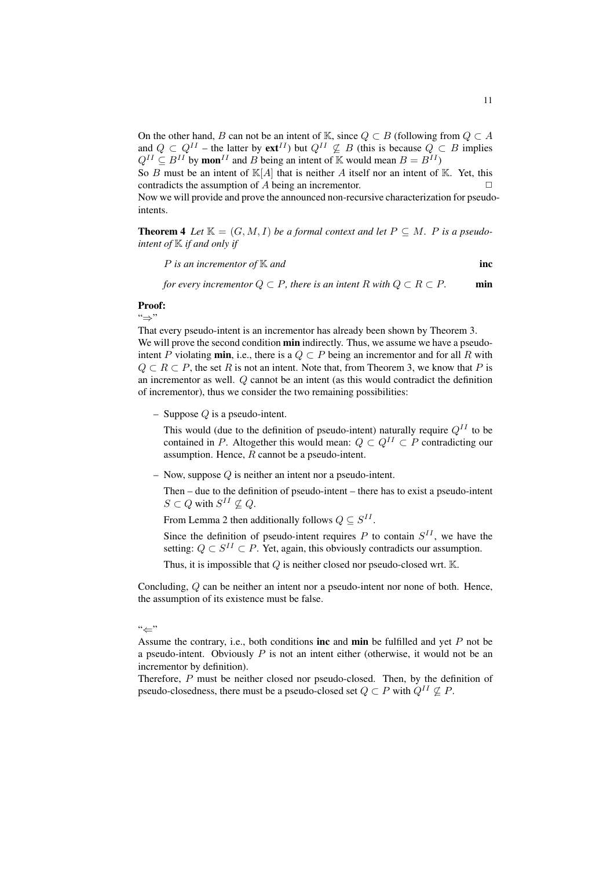On the other hand, B can not be an intent of K, since  $Q \subset B$  (following from  $Q \subset A$ and  $Q \subset Q^{II}$  – the latter by  $ext^{II}$ ) but  $Q^{II} \not\subseteq B$  (this is because  $Q \subset B$  implies  $Q^{II} \subseteq B^{II}$  by mon<sup>II</sup> and B being an intent of K would mean  $B = B^{II}$ )

So B must be an intent of  $K[A]$  that is neither A itself nor an intent of K. Yet, this contradicts the assumption of  $A$  being an incrementor. Now we will provide and prove the announced non-recursive characterization for pseudointents.

**Theorem 4** *Let*  $K = (G, M, I)$  *be a formal context and let*  $P \subseteq M$ *. P is a pseudointent of*  $K$  *if and only if* 

$$
P
$$
 is an incrementor of  $\mathbb{K}$  and

*for every incrementor*  $O \subset P$ *, there is an intent*  $R$  *with*  $O \subset R \subset P$ . min

#### Proof:

"⇒"

That every pseudo-intent is an incrementor has already been shown by Theorem 3. We will prove the second condition **min** indirectly. Thus, we assume we have a pseudointent P violating **min**, i.e., there is a  $Q \subset P$  being an incrementor and for all R with  $Q \subset R \subset P$ , the set R is not an intent. Note that, from Theorem 3, we know that P is an incrementor as well. Q cannot be an intent (as this would contradict the definition of incrementor), thus we consider the two remaining possibilities:

– Suppose  $Q$  is a pseudo-intent.

This would (due to the definition of pseudo-intent) naturally require  $Q^{II}$  to be contained in P. Altogether this would mean:  $Q \subset Q^{II} \subset P$  contradicting our assumption. Hence, R cannot be a pseudo-intent.

– Now, suppose  $Q$  is neither an intent nor a pseudo-intent.

Then – due to the definition of pseudo-intent – there has to exist a pseudo-intent  $S \subset Q$  with  $S^{II} \nsubseteq Q$ .

From Lemma 2 then additionally follows  $Q \subseteq S^{II}$ .

Since the definition of pseudo-intent requires P to contain  $S^{II}$ , we have the setting:  $Q \subset S^{II} \subset P$ . Yet, again, this obviously contradicts our assumption.

Thus, it is impossible that Q is neither closed nor pseudo-closed wrt.  $K$ .

Concluding, Q can be neither an intent nor a pseudo-intent nor none of both. Hence, the assumption of its existence must be false.

<sup>&</sup>quot;⇐"

Assume the contrary, i.e., both conditions inc and min be fulfilled and yet  $P$  not be a pseudo-intent. Obviously  $P$  is not an intent either (otherwise, it would not be an incrementor by definition).

Therefore, P must be neither closed nor pseudo-closed. Then, by the definition of pseudo-closedness, there must be a pseudo-closed set  $Q \subset P$  with  $Q^{II} \nsubseteq P$ .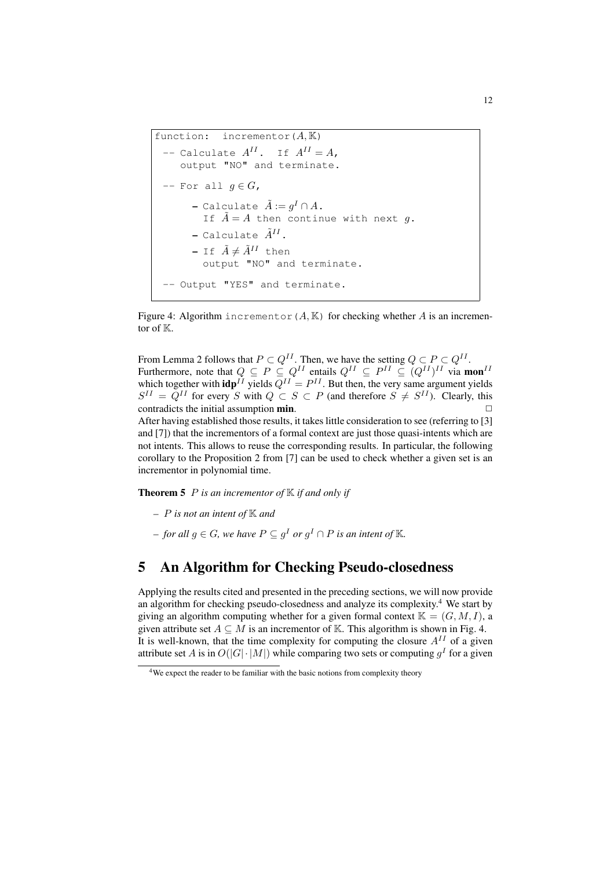function: incrementor  $(A, K)$ -- Calculate  $A^{II}$ . If  $A^{II} = A$ , output "NO" and terminate.  $--$  For all  $g\in G$ , - Calculate  $\tilde{A} := g^I \cap A$ . If  $\tilde{A} = A$  then continue with next  $g$ .  $-$  Calculate  $\tilde{A}^{II}$ . - If  $\tilde{A} \neq \tilde{A}^{II}$  then output "NO" and terminate. -- Output "YES" and terminate.

Figure 4: Algorithm incrementor  $(A, K)$  for checking whether A is an incrementor of K.

From Lemma 2 follows that  $P \subset Q^{II}$ . Then, we have the setting  $Q \subset P \subset Q^{II}$ . Furthermore, note that  $Q \subseteq P \subseteq Q^{II}$  entails  $Q^{II} \subseteq P^{II} \subseteq (Q^{II})^{II}$  via mon<sup>11</sup> which together with **idp**<sup>II</sup> yields  $Q^{II} = P^{II}$ . But then, the very same argument yields  $S^{II} = Q^{II}$  for every S with  $Q \subset S \subset P$  (and therefore  $S \neq S^{II}$ ). Clearly, this contradicts the initial assumption **min**.

After having established those results, it takes little consideration to see (referring to [3] and [7]) that the incrementors of a formal context are just those quasi-intents which are not intents. This allows to reuse the corresponding results. In particular, the following corollary to the Proposition 2 from [7] can be used to check whether a given set is an incrementor in polynomial time.

Theorem 5 P *is an incrementor of* K *if and only if*

- *–* P *is not an intent of* K *and*
- $−$  *for all*  $g \in G$ *, we have*  $P \subseteq g^I$  *or*  $g^I ∩ P$  *is an intent of*  $K$ *.*

### 5 An Algorithm for Checking Pseudo-closedness

Applying the results cited and presented in the preceding sections, we will now provide an algorithm for checking pseudo-closedness and analyze its complexity.<sup>4</sup> We start by giving an algorithm computing whether for a given formal context  $\mathbb{K} = (G, M, I)$ , a given attribute set  $A \subseteq M$  is an incrementor of K. This algorithm is shown in Fig. 4. It is well-known, that the time complexity for computing the closure  $A^{II}$  of a given attribute set A is in  $O(|G| \cdot |M|)$  while comparing two sets or computing  $g<sup>I</sup>$  for a given

<sup>&</sup>lt;sup>4</sup>We expect the reader to be familiar with the basic notions from complexity theory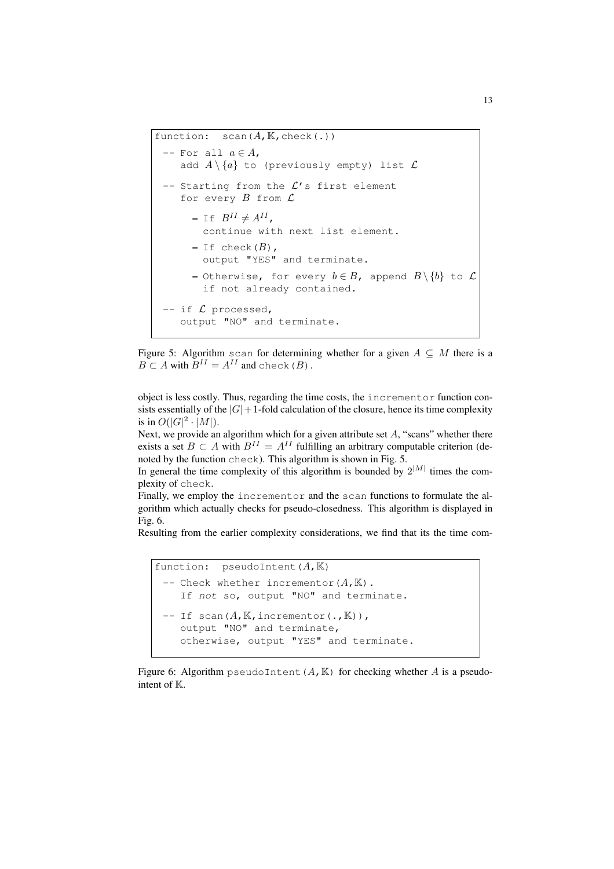```
function: scan(A, K, check(.))-- For all a \in A,
     add A \setminus \{a\} to (previously empty) list \mathcal L-- Starting from the \mathcal{L}'s first element
     for every B from \mathcal L- If \; B^{II} \neq A^{II} ,
         continue with next list element.
       - If check(B),
         output "YES" and terminate.
       – Otherwise, for every b \in B, append B \setminus \{b\} to \mathcal Lif not already contained.
 -- if L processed,
     output "NO" and terminate.
```
Figure 5: Algorithm scan for determining whether for a given  $A \subseteq M$  there is a  $B \subset A$  with  $B^{II} = A^{II}$  and check  $(B)$ .

object is less costly. Thus, regarding the time costs, the incrementor function consists essentially of the  $|G| + 1$ -fold calculation of the closure, hence its time complexity is in  $O(|G|^2 \cdot |M|)$ .

Next, we provide an algorithm which for a given attribute set  $A$ , "scans" whether there exists a set  $B \subset A$  with  $B^{II} = A^{II}$  fulfilling an arbitrary computable criterion (denoted by the function check). This algorithm is shown in Fig. 5.

In general the time complexity of this algorithm is bounded by  $2^{|M|}$  times the complexity of check.

Finally, we employ the incrementor and the scan functions to formulate the algorithm which actually checks for pseudo-closedness. This algorithm is displayed in Fig. 6.

Resulting from the earlier complexity considerations, we find that its the time com-

```
function: pseudoIntent (A, K)-- Check whether incrementor (A, K).
    If not so, output "NO" and terminate.
 - If scan(A, \mathbb{K}, incrementor(., \mathbb{K})),
    output "NO" and terminate,
    otherwise, output "YES" and terminate.
```
Figure 6: Algorithm pseudoIntent( $A$ , K) for checking whether A is a pseudointent of K.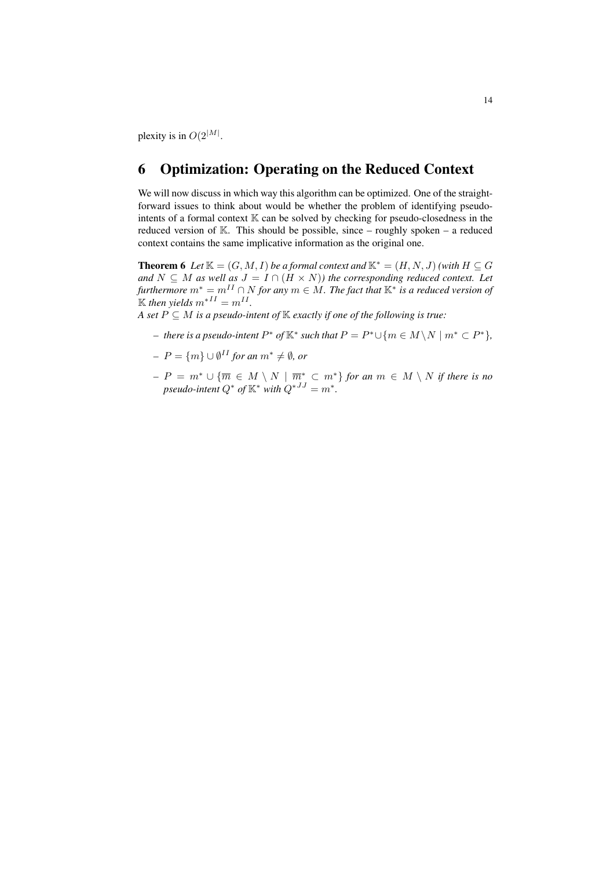plexity is in  $O(2^{|M|})$ .

# 6 Optimization: Operating on the Reduced Context

We will now discuss in which way this algorithm can be optimized. One of the straightforward issues to think about would be whether the problem of identifying pseudointents of a formal context K can be solved by checking for pseudo-closedness in the reduced version of K. This should be possible, since – roughly spoken – a reduced context contains the same implicative information as the original one.

**Theorem 6** *Let*  $K = (G, M, I)$  *be a formal context and*  $K^* = (H, N, J)$  *(with*  $H \subseteq G$ *and*  $N ⊂ M$  *as well as*  $J = I ∩ (H × N)$  *the corresponding reduced context. Let*  $\mathit{furthermore}\ m^{*}=m^{II}\cap N$  *for any*  $m\in M.$  *The fact that*  $\mathbb{K}^{*}$  *is a reduced version of*  $\mathbb{K}$  *then yields*  $m^{*II} = m^{II}$ .

*A set*  $P \subseteq M$  *is a pseudo-intent of*  $K$  *exactly if one of the following is true:* 

- *– there is a pseudo-intent*  $P^*$  *of*  $K^*$  *such that*  $P = P^* \cup \{m \in M \setminus N \mid m^* \subset P^*\}$ *,*
- $P = \{m\} \cup \emptyset^{II}$  *for an*  $m^* \neq \emptyset$ *, or*
- *–*  $P = m^* ∪ {m ∈ M ∖ N | \overline{m}^* ⊂ m^*} for an m ∈ M ∖ N if there is no$ *pseudo-intent*  $Q^*$  *of*  $\mathbb{K}^*$  *with*  $Q^{*JJ} = m^*$ .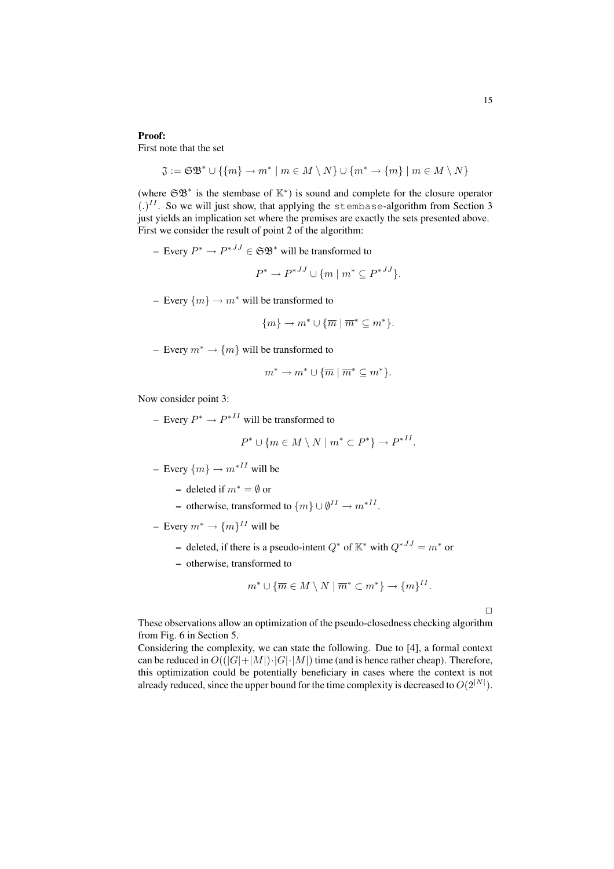#### Proof:

First note that the set

$$
\mathfrak{J}:=\mathfrak{S}\mathfrak{B}^*\cup \{\{m\}\rightarrow m^*\mid m\in M\setminus N\}\cup \{m^*\rightarrow \{m\}\mid m\in M\setminus N\}
$$

(where  $\mathfrak{SB}^*$  is the stembase of  $\mathbb{K}^*$ ) is sound and complete for the closure operator  $(.)^{II}$ . So we will just show, that applying the stembase-algorithm from Section 3 just yields an implication set where the premises are exactly the sets presented above. First we consider the result of point 2 of the algorithm:

– Every  $P^* \to P^{*JJ} \in \mathfrak{SB}^*$  will be transformed to

$$
P^* \to P^{*JJ} \cup \{m \mid m^* \subseteq P^{*JJ}\}.
$$

– Every  $\{m\} \to m^*$  will be transformed to

$$
\{m\} \to m^* \cup \{\overline{m} \mid \overline{m}^* \subseteq m^*\}.
$$

– Every  $m^* \to \{m\}$  will be transformed to

$$
m^* \to m^* \cup \{\overline{m} \mid \overline{m}^* \subseteq m^*\}.
$$

Now consider point 3:

– Every  $P^* \to P^{*II}$  will be transformed to

$$
P^* \cup \{ m \in M \setminus N \mid m^* \subset P^* \} \to P^{*II}.
$$

- Every  ${m} \rightarrow m^{*II}$  will be
	- deleted if  $m^* = \emptyset$  or
	- otherwise, transformed to  $\{m\}$  ∪  $\emptyset^{II}$  →  $m^*$ <sup>II</sup>.
- Every  $m^* \to \{m\}^{II}$  will be
	- deleted, if there is a pseudo-intent  $Q^*$  of  $K^*$  with  $Q^{*JJ} = m^*$  or
	- otherwise, transformed to

$$
m^* \cup \{ \overline{m} \in M \setminus N \mid \overline{m}^* \subset m^* \} \to \{ m \}^{\mathrm{II}}.
$$

 $\Box$ 

These observations allow an optimization of the pseudo-closedness checking algorithm from Fig. 6 in Section 5.

Considering the complexity, we can state the following. Due to [4], a formal context can be reduced in  $O((|G|+|M|)\cdot |G|\cdot |M|)$  time (and is hence rather cheap). Therefore, this optimization could be potentially beneficiary in cases where the context is not already reduced, since the upper bound for the time complexity is decreased to  $O(2^{|N|})$ .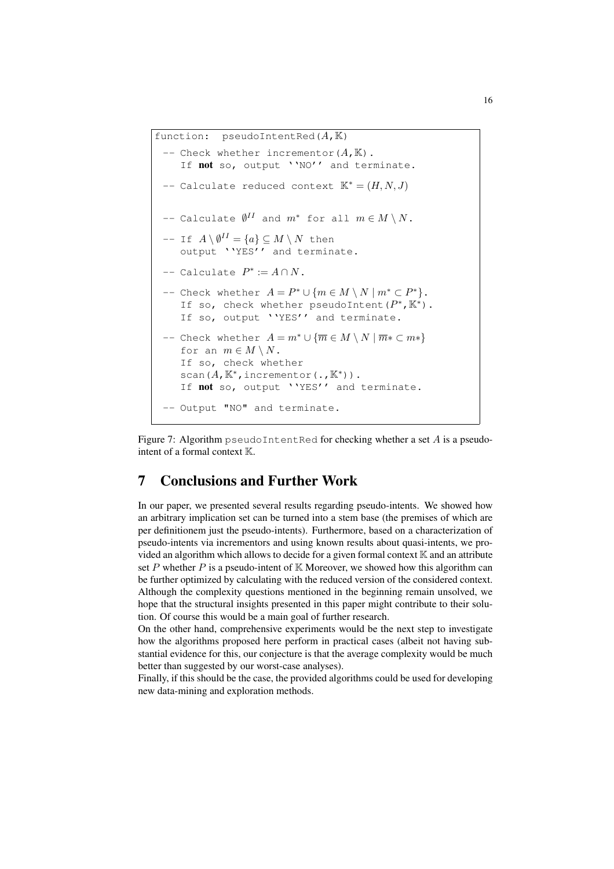function:  $pseudoIntentRed(A, K)$ 

```
-- Check whether incrementor (A, K).
    If not so, output ''NO'' and terminate.
-- Calculate reduced context \mathbb{K}^* = (H, N, J)-- Calculate \emptyset^{II} and m^* for all m \in M \setminus N.
-- If A \setminus \emptyset^{II} = \{a\} \subseteq M \setminus N then
   output ''YES'' and terminate.
-- Calculate P^* := A \cap N.
- Check whether A = P^* \cup \{m \in M \setminus N \mid m^* \subset P^*\}.If so, check whether pseudoIntent (P^*, \mathbb{K}^*).
   If so, output ''YES'' and terminate.
-- Check whether A = m^* \cup {\overline{m} \in M \setminus N \mid \overline{m} * \subset m *}for an m \in M \setminus N.
   If so, check whether
   scan(A,\mathbb{K}^*, incrementor(.,\mathbb{K}^*)).
    If not so, output ''YES'' and terminate.
-- Output "NO" and terminate.
```
Figure 7: Algorithm pseudoIntentRed for checking whether a set  $A$  is a pseudointent of a formal context K.

## 7 Conclusions and Further Work

In our paper, we presented several results regarding pseudo-intents. We showed how an arbitrary implication set can be turned into a stem base (the premises of which are per definitionem just the pseudo-intents). Furthermore, based on a characterization of pseudo-intents via incrementors and using known results about quasi-intents, we provided an algorithm which allows to decide for a given formal context  $K$  and an attribute set P whether P is a pseudo-intent of  $K$  Moreover, we showed how this algorithm can be further optimized by calculating with the reduced version of the considered context. Although the complexity questions mentioned in the beginning remain unsolved, we hope that the structural insights presented in this paper might contribute to their solution. Of course this would be a main goal of further research.

On the other hand, comprehensive experiments would be the next step to investigate how the algorithms proposed here perform in practical cases (albeit not having substantial evidence for this, our conjecture is that the average complexity would be much better than suggested by our worst-case analyses).

Finally, if this should be the case, the provided algorithms could be used for developing new data-mining and exploration methods.